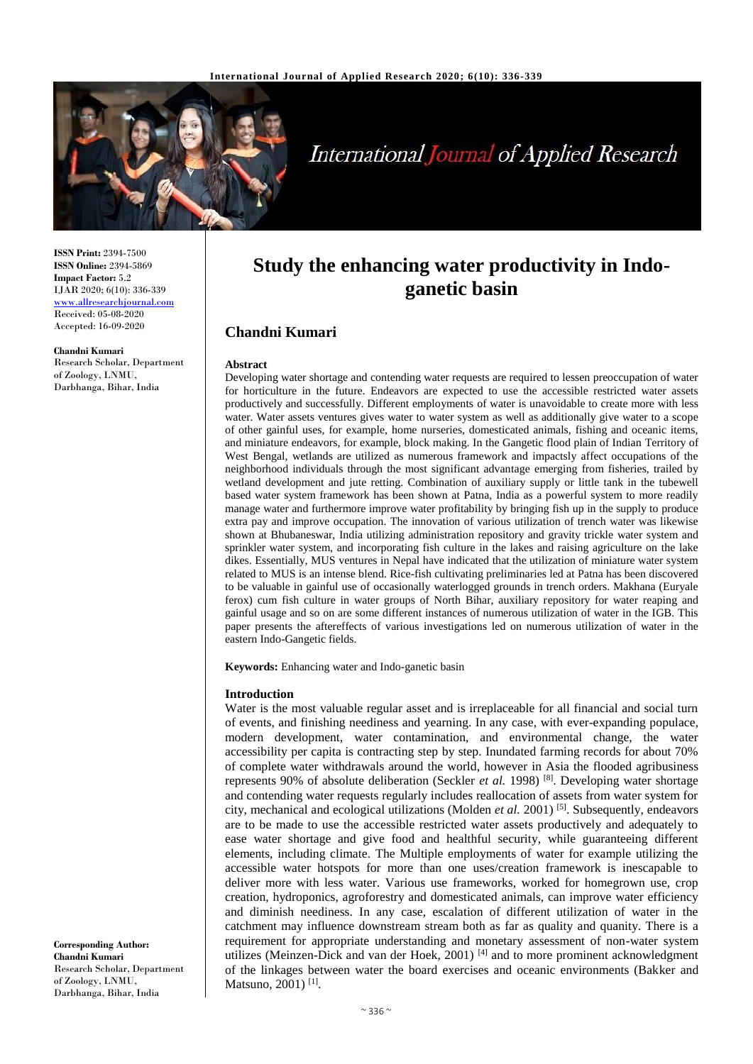

# **International Journal of Applied Research**

**ISSN Print:** 2394-7500 **ISSN Online:** 2394-5869 **Impact Factor:** 5.2 IJAR 2020; 6(10): 336-339 <www.allresearchjournal.com> Received: 05-08-2020 Accepted: 16-09-2020

**Chandni Kumari**

Research Scholar, Department of Zoology, LNMU, Darbhanga, Bihar, India

**Study the enhancing water productivity in Indoganetic basin**

# **Chandni Kumari**

#### **Abstract**

Developing water shortage and contending water requests are required to lessen preoccupation of water for horticulture in the future. Endeavors are expected to use the accessible restricted water assets productively and successfully. Different employments of water is unavoidable to create more with less water. Water assets ventures gives water to water system as well as additionally give water to a scope of other gainful uses, for example, home nurseries, domesticated animals, fishing and oceanic items, and miniature endeavors, for example, block making. In the Gangetic flood plain of Indian Territory of West Bengal, wetlands are utilized as numerous framework and impactsly affect occupations of the neighborhood individuals through the most significant advantage emerging from fisheries, trailed by wetland development and jute retting. Combination of auxiliary supply or little tank in the tubewell based water system framework has been shown at Patna, India as a powerful system to more readily manage water and furthermore improve water profitability by bringing fish up in the supply to produce extra pay and improve occupation. The innovation of various utilization of trench water was likewise shown at Bhubaneswar, India utilizing administration repository and gravity trickle water system and sprinkler water system, and incorporating fish culture in the lakes and raising agriculture on the lake dikes. Essentially, MUS ventures in Nepal have indicated that the utilization of miniature water system related to MUS is an intense blend. Rice-fish cultivating preliminaries led at Patna has been discovered to be valuable in gainful use of occasionally waterlogged grounds in trench orders. Makhana (Euryale ferox) cum fish culture in water groups of North Bihar, auxiliary repository for water reaping and gainful usage and so on are some different instances of numerous utilization of water in the IGB. This paper presents the aftereffects of various investigations led on numerous utilization of water in the eastern Indo-Gangetic fields.

**Keywords:** Enhancing water and Indo-ganetic basin

#### **Introduction**

Water is the most valuable regular asset and is irreplaceable for all financial and social turn of events, and finishing neediness and yearning. In any case, with ever-expanding populace, modern development, water contamination, and environmental change, the water accessibility per capita is contracting step by step. Inundated farming records for about 70% of complete water withdrawals around the world, however in Asia the flooded agribusiness represents 90% of absolute deliberation (Seckler *et al.* 1998) [8]. Developing water shortage and contending water requests regularly includes reallocation of assets from water system for city, mechanical and ecological utilizations (Molden *et al.* 2001) [5]. Subsequently, endeavors are to be made to use the accessible restricted water assets productively and adequately to ease water shortage and give food and healthful security, while guaranteeing different elements, including climate. The Multiple employments of water for example utilizing the accessible water hotspots for more than one uses/creation framework is inescapable to deliver more with less water. Various use frameworks, worked for homegrown use, crop creation, hydroponics, agroforestry and domesticated animals, can improve water efficiency and diminish neediness. In any case, escalation of different utilization of water in the catchment may influence downstream stream both as far as quality and quanity. There is a requirement for appropriate understanding and monetary assessment of non-water system utilizes (Meinzen-Dick and van der Hoek, 2001)<sup>[4]</sup> and to more prominent acknowledgment of the linkages between water the board exercises and oceanic environments (Bakker and Matsuno, 2001)<sup>[1]</sup>.

**Corresponding Author: Chandni Kumari** Research Scholar, Department of Zoology, LNMU, Darbhanga, Bihar, India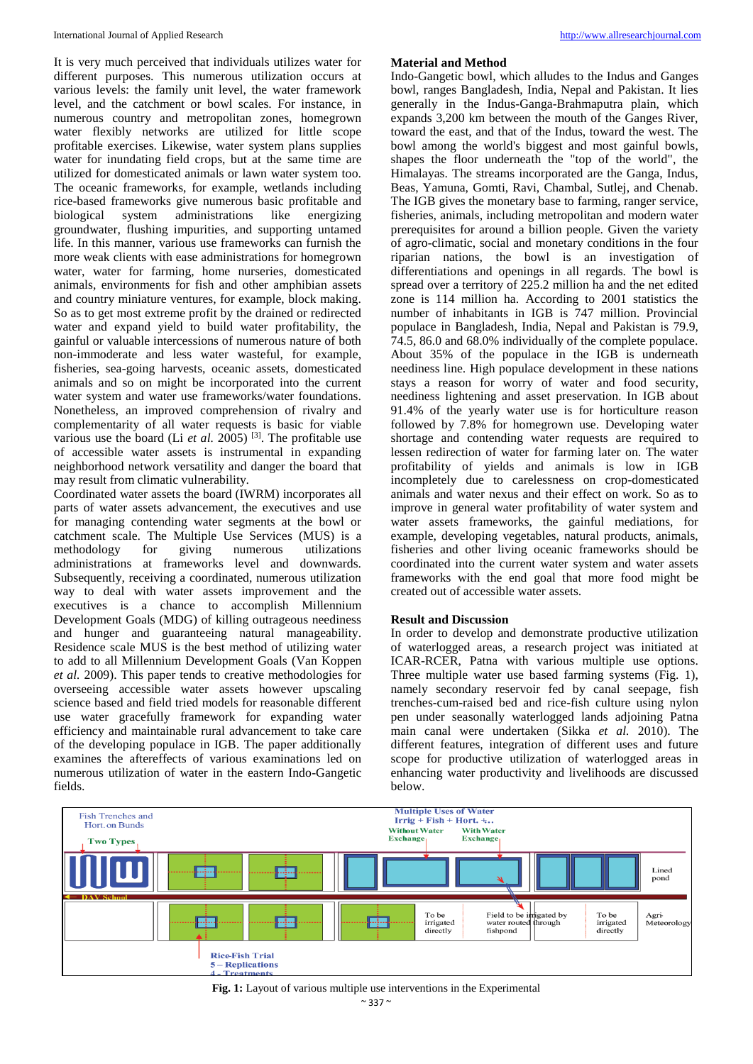It is very much perceived that individuals utilizes water for different purposes. This numerous utilization occurs at various levels: the family unit level, the water framework level, and the catchment or bowl scales. For instance, in numerous country and metropolitan zones, homegrown water flexibly networks are utilized for little scope profitable exercises. Likewise, water system plans supplies water for inundating field crops, but at the same time are utilized for domesticated animals or lawn water system too. The oceanic frameworks, for example, wetlands including rice-based frameworks give numerous basic profitable and biological system administrations like energizing groundwater, flushing impurities, and supporting untamed life. In this manner, various use frameworks can furnish the more weak clients with ease administrations for homegrown water, water for farming, home nurseries, domesticated animals, environments for fish and other amphibian assets and country miniature ventures, for example, block making. So as to get most extreme profit by the drained or redirected water and expand yield to build water profitability, the gainful or valuable intercessions of numerous nature of both non-immoderate and less water wasteful, for example, fisheries, sea-going harvests, oceanic assets, domesticated animals and so on might be incorporated into the current water system and water use frameworks/water foundations. Nonetheless, an improved comprehension of rivalry and complementarity of all water requests is basic for viable various use the board (Li *et al.* 2005)<sup>[3]</sup>. The profitable use of accessible water assets is instrumental in expanding neighborhood network versatility and danger the board that may result from climatic vulnerability.

Coordinated water assets the board (IWRM) incorporates all parts of water assets advancement, the executives and use for managing contending water segments at the bowl or catchment scale. The Multiple Use Services (MUS) is a methodology for giving numerous utilizations administrations at frameworks level and downwards. Subsequently, receiving a coordinated, numerous utilization way to deal with water assets improvement and the executives is a chance to accomplish Millennium Development Goals (MDG) of killing outrageous neediness and hunger and guaranteeing natural manageability. Residence scale MUS is the best method of utilizing water to add to all Millennium Development Goals (Van Koppen *et al.* 2009). This paper tends to creative methodologies for overseeing accessible water assets however upscaling science based and field tried models for reasonable different use water gracefully framework for expanding water efficiency and maintainable rural advancement to take care of the developing populace in IGB. The paper additionally examines the aftereffects of various examinations led on numerous utilization of water in the eastern Indo-Gangetic fields.

#### **Material and Method**

Indo-Gangetic bowl, which alludes to the Indus and Ganges bowl, ranges Bangladesh, India, Nepal and Pakistan. It lies generally in the Indus-Ganga-Brahmaputra plain, which expands 3,200 km between the mouth of the Ganges River, toward the east, and that of the Indus, toward the west. The bowl among the world's biggest and most gainful bowls, shapes the floor underneath the "top of the world", the Himalayas. The streams incorporated are the Ganga, Indus, Beas, Yamuna, Gomti, Ravi, Chambal, Sutlej, and Chenab. The IGB gives the monetary base to farming, ranger service, fisheries, animals, including metropolitan and modern water prerequisites for around a billion people. Given the variety of agro-climatic, social and monetary conditions in the four riparian nations, the bowl is an investigation of differentiations and openings in all regards. The bowl is spread over a territory of 225.2 million ha and the net edited zone is 114 million ha. According to 2001 statistics the number of inhabitants in IGB is 747 million. Provincial populace in Bangladesh, India, Nepal and Pakistan is 79.9, 74.5, 86.0 and 68.0% individually of the complete populace. About 35% of the populace in the IGB is underneath neediness line. High populace development in these nations stays a reason for worry of water and food security, neediness lightening and asset preservation. In IGB about 91.4% of the yearly water use is for horticulture reason followed by 7.8% for homegrown use. Developing water shortage and contending water requests are required to lessen redirection of water for farming later on. The water profitability of yields and animals is low in IGB incompletely due to carelessness on crop-domesticated animals and water nexus and their effect on work. So as to improve in general water profitability of water system and water assets frameworks, the gainful mediations, for example, developing vegetables, natural products, animals, fisheries and other living oceanic frameworks should be coordinated into the current water system and water assets frameworks with the end goal that more food might be created out of accessible water assets.

#### **Result and Discussion**

In order to develop and demonstrate productive utilization of waterlogged areas, a research project was initiated at ICAR-RCER, Patna with various multiple use options. Three multiple water use based farming systems (Fig. 1), namely secondary reservoir fed by canal seepage, fish trenches-cum-raised bed and rice-fish culture using nylon pen under seasonally waterlogged lands adjoining Patna main canal were undertaken (Sikka *et al.* 2010). The different features, integration of different uses and future scope for productive utilization of waterlogged areas in enhancing water productivity and livelihoods are discussed below.



**Fig. 1:** Layout of various multiple use interventions in the Experimental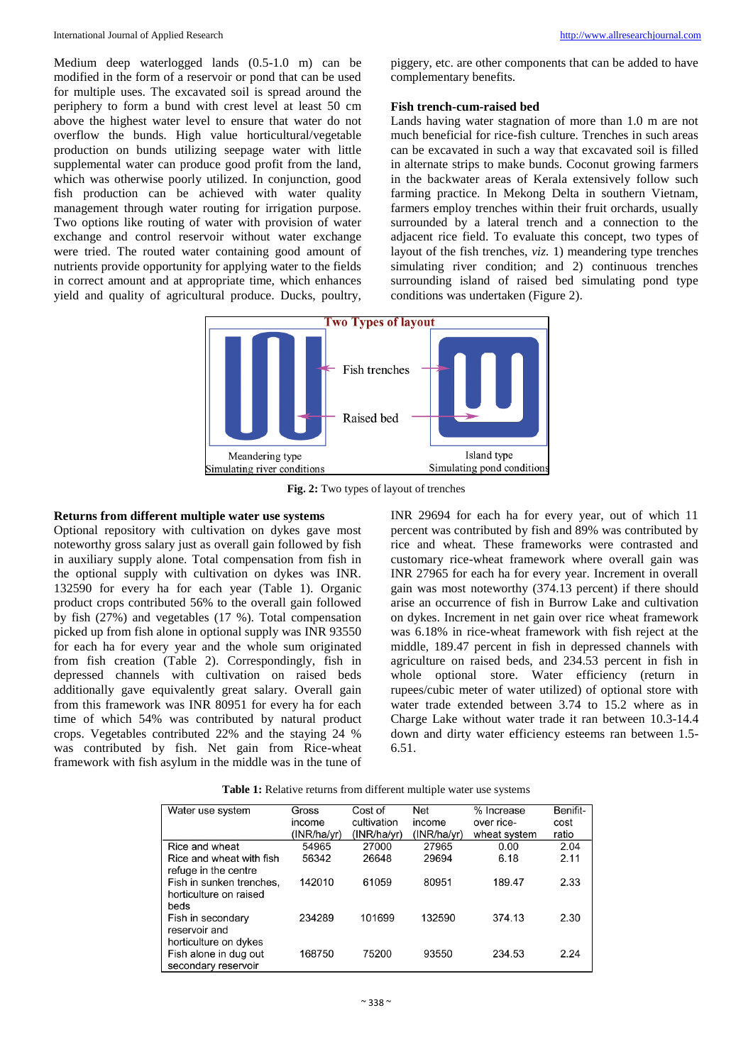Medium deep waterlogged lands (0.5-1.0 m) can be modified in the form of a reservoir or pond that can be used for multiple uses. The excavated soil is spread around the periphery to form a bund with crest level at least 50 cm above the highest water level to ensure that water do not overflow the bunds. High value horticultural/vegetable production on bunds utilizing seepage water with little supplemental water can produce good profit from the land, which was otherwise poorly utilized. In conjunction, good fish production can be achieved with water quality management through water routing for irrigation purpose. Two options like routing of water with provision of water exchange and control reservoir without water exchange were tried. The routed water containing good amount of nutrients provide opportunity for applying water to the fields in correct amount and at appropriate time, which enhances yield and quality of agricultural produce. Ducks, poultry,

piggery, etc. are other components that can be added to have complementary benefits.

### **Fish trench-cum-raised bed**

Lands having water stagnation of more than 1.0 m are not much beneficial for rice-fish culture. Trenches in such areas can be excavated in such a way that excavated soil is filled in alternate strips to make bunds. Coconut growing farmers in the backwater areas of Kerala extensively follow such farming practice. In Mekong Delta in southern Vietnam, farmers employ trenches within their fruit orchards, usually surrounded by a lateral trench and a connection to the adjacent rice field. To evaluate this concept, two types of layout of the fish trenches, *viz.* 1) meandering type trenches simulating river condition; and 2) continuous trenches surrounding island of raised bed simulating pond type conditions was undertaken (Figure 2).



**Fig. 2:** Two types of layout of trenches

# **Returns from different multiple water use systems**

Optional repository with cultivation on dykes gave most noteworthy gross salary just as overall gain followed by fish in auxiliary supply alone. Total compensation from fish in the optional supply with cultivation on dykes was INR. 132590 for every ha for each year (Table 1). Organic product crops contributed 56% to the overall gain followed by fish (27%) and vegetables (17 %). Total compensation picked up from fish alone in optional supply was INR 93550 for each ha for every year and the whole sum originated from fish creation (Table 2). Correspondingly, fish in depressed channels with cultivation on raised beds additionally gave equivalently great salary. Overall gain from this framework was INR 80951 for every ha for each time of which 54% was contributed by natural product crops. Vegetables contributed 22% and the staying 24 % was contributed by fish. Net gain from Rice-wheat framework with fish asylum in the middle was in the tune of

INR 29694 for each ha for every year, out of which 11 percent was contributed by fish and 89% was contributed by rice and wheat. These frameworks were contrasted and customary rice-wheat framework where overall gain was INR 27965 for each ha for every year. Increment in overall gain was most noteworthy (374.13 percent) if there should arise an occurrence of fish in Burrow Lake and cultivation on dykes. Increment in net gain over rice wheat framework was 6.18% in rice-wheat framework with fish reject at the middle, 189.47 percent in fish in depressed channels with agriculture on raised beds, and 234.53 percent in fish in whole optional store. Water efficiency (return in rupees/cubic meter of water utilized) of optional store with water trade extended between 3.74 to 15.2 where as in Charge Lake without water trade it ran between 10.3-14.4 down and dirty water efficiency esteems ran between 1.5- 6.51.

| Table 1: Relative returns from different multiple water use systems |  |  |  |  |  |
|---------------------------------------------------------------------|--|--|--|--|--|
|---------------------------------------------------------------------|--|--|--|--|--|

| Water use system         | Gross       | Cost of     | Net         | % Increase   | Benifit- |
|--------------------------|-------------|-------------|-------------|--------------|----------|
|                          | income      | cultivation | income      | over rice-   | cost     |
|                          | (INR/ha/yr) | (INR/ha/yr) | (INR/ha/vr) | wheat system | ratio    |
| Rice and wheat           | 54965       | 27000       | 27965       | 0.00         | 2.04     |
| Rice and wheat with fish | 56342       | 26648       | 29694       | 6.18         | 2.11     |
| refuge in the centre     |             |             |             |              |          |
| Fish in sunken trenches, | 142010      | 61059       | 80951       | 189.47       | 2.33     |
| horticulture on raised   |             |             |             |              |          |
| beds                     |             |             |             |              |          |
| Fish in secondary        | 234289      | 101699      | 132590      | 374.13       | 2.30     |
| reservoir and            |             |             |             |              |          |
| horticulture on dykes    |             |             |             |              |          |
| Fish alone in dug out    | 168750      | 75200       | 93550       | 234.53       | 2.24     |
| secondary reservoir      |             |             |             |              |          |